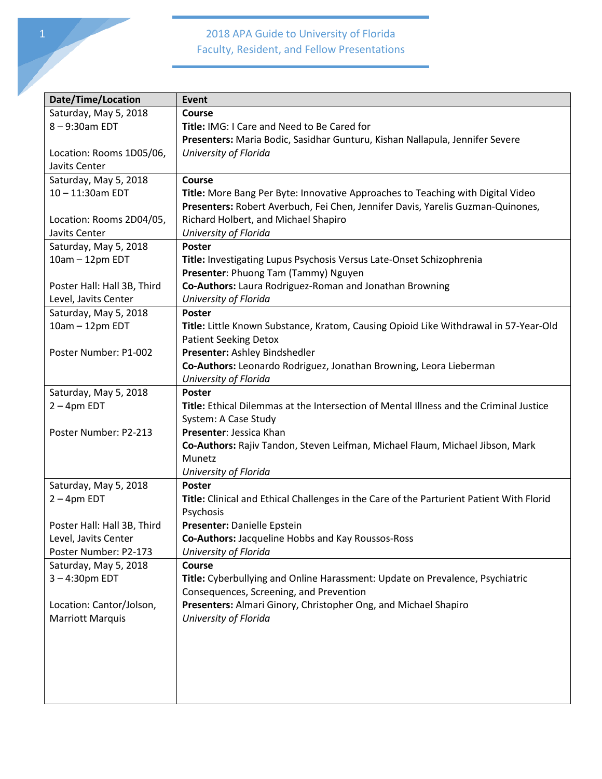| Date/Time/Location          | Event                                                                                    |
|-----------------------------|------------------------------------------------------------------------------------------|
| Saturday, May 5, 2018       | <b>Course</b>                                                                            |
| 8-9:30am EDT                | <b>Title: IMG: I Care and Need to Be Cared for</b>                                       |
|                             | Presenters: Maria Bodic, Sasidhar Gunturu, Kishan Nallapula, Jennifer Severe             |
| Location: Rooms 1D05/06,    | University of Florida                                                                    |
| Javits Center               |                                                                                          |
| Saturday, May 5, 2018       | Course                                                                                   |
| 10-11:30am EDT              |                                                                                          |
|                             | Title: More Bang Per Byte: Innovative Approaches to Teaching with Digital Video          |
|                             | Presenters: Robert Averbuch, Fei Chen, Jennifer Davis, Yarelis Guzman-Quinones,          |
| Location: Rooms 2D04/05,    | Richard Holbert, and Michael Shapiro                                                     |
| Javits Center               | University of Florida                                                                    |
| Saturday, May 5, 2018       | <b>Poster</b>                                                                            |
| 10am - 12pm EDT             | Title: Investigating Lupus Psychosis Versus Late-Onset Schizophrenia                     |
|                             | Presenter: Phuong Tam (Tammy) Nguyen                                                     |
| Poster Hall: Hall 3B, Third | Co-Authors: Laura Rodriguez-Roman and Jonathan Browning                                  |
| Level, Javits Center        | University of Florida                                                                    |
| Saturday, May 5, 2018       | <b>Poster</b>                                                                            |
| 10am - 12pm EDT             | Title: Little Known Substance, Kratom, Causing Opioid Like Withdrawal in 57-Year-Old     |
|                             | <b>Patient Seeking Detox</b>                                                             |
| Poster Number: P1-002       | Presenter: Ashley Bindshedler                                                            |
|                             | Co-Authors: Leonardo Rodriguez, Jonathan Browning, Leora Lieberman                       |
|                             | University of Florida                                                                    |
| Saturday, May 5, 2018       | <b>Poster</b>                                                                            |
| $2 - 4$ pm EDT              | Title: Ethical Dilemmas at the Intersection of Mental Illness and the Criminal Justice   |
|                             | System: A Case Study                                                                     |
| Poster Number: P2-213       | Presenter: Jessica Khan                                                                  |
|                             | Co-Authors: Rajiv Tandon, Steven Leifman, Michael Flaum, Michael Jibson, Mark            |
|                             | Munetz                                                                                   |
|                             | University of Florida                                                                    |
| Saturday, May 5, 2018       | <b>Poster</b>                                                                            |
| $2 - 4$ pm EDT              | Title: Clinical and Ethical Challenges in the Care of the Parturient Patient With Florid |
|                             | Psychosis                                                                                |
| Poster Hall: Hall 3B, Third | Presenter: Danielle Epstein                                                              |
| Level, Javits Center        | Co-Authors: Jacqueline Hobbs and Kay Roussos-Ross                                        |
| Poster Number: P2-173       | University of Florida                                                                    |
| Saturday, May 5, 2018       | <b>Course</b>                                                                            |
| $3 - 4:30$ pm EDT           | Title: Cyberbullying and Online Harassment: Update on Prevalence, Psychiatric            |
|                             | Consequences, Screening, and Prevention                                                  |
| Location: Cantor/Jolson,    | Presenters: Almari Ginory, Christopher Ong, and Michael Shapiro                          |
|                             |                                                                                          |
| <b>Marriott Marquis</b>     | University of Florida                                                                    |
|                             |                                                                                          |
|                             |                                                                                          |
|                             |                                                                                          |
|                             |                                                                                          |
|                             |                                                                                          |
|                             |                                                                                          |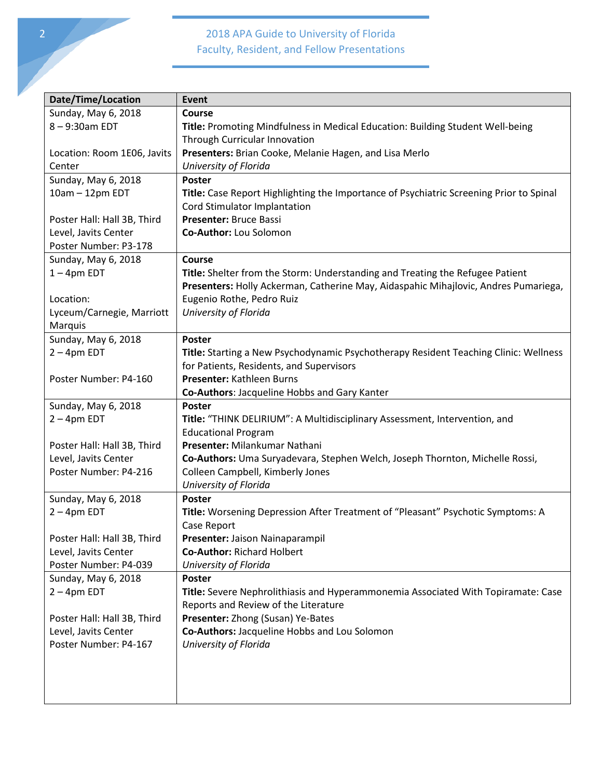| <b>Date/Time/Location</b>                     | <b>Event</b>                                                                            |
|-----------------------------------------------|-----------------------------------------------------------------------------------------|
| Sunday, May 6, 2018                           | Course                                                                                  |
| 8-9:30am EDT                                  | Title: Promoting Mindfulness in Medical Education: Building Student Well-being          |
|                                               | Through Curricular Innovation                                                           |
| Location: Room 1E06, Javits                   | Presenters: Brian Cooke, Melanie Hagen, and Lisa Merlo                                  |
| Center                                        | University of Florida                                                                   |
| Sunday, May 6, 2018                           | Poster                                                                                  |
| 10am - 12pm EDT                               | Title: Case Report Highlighting the Importance of Psychiatric Screening Prior to Spinal |
|                                               | Cord Stimulator Implantation                                                            |
| Poster Hall: Hall 3B, Third                   | Presenter: Bruce Bassi                                                                  |
| Level, Javits Center                          | Co-Author: Lou Solomon                                                                  |
| Poster Number: P3-178                         |                                                                                         |
| Sunday, May 6, 2018                           | <b>Course</b>                                                                           |
| $1 - 4$ pm EDT                                | <b>Title:</b> Shelter from the Storm: Understanding and Treating the Refugee Patient    |
|                                               | Presenters: Holly Ackerman, Catherine May, Aidaspahic Mihajlovic, Andres Pumariega,     |
| Location:                                     | Eugenio Rothe, Pedro Ruiz                                                               |
| Lyceum/Carnegie, Marriott                     | University of Florida                                                                   |
| Marquis                                       |                                                                                         |
| Sunday, May 6, 2018                           | Poster                                                                                  |
| $2 - 4$ pm EDT                                | Title: Starting a New Psychodynamic Psychotherapy Resident Teaching Clinic: Wellness    |
|                                               | for Patients, Residents, and Supervisors                                                |
| Poster Number: P4-160                         | Presenter: Kathleen Burns                                                               |
|                                               | Co-Authors: Jacqueline Hobbs and Gary Kanter                                            |
| Sunday, May 6, 2018                           | Poster                                                                                  |
| $2 - 4$ pm EDT                                | Title: "THINK DELIRIUM": A Multidisciplinary Assessment, Intervention, and              |
|                                               | <b>Educational Program</b>                                                              |
| Poster Hall: Hall 3B, Third                   | Presenter: Milankumar Nathani                                                           |
| Level, Javits Center                          | Co-Authors: Uma Suryadevara, Stephen Welch, Joseph Thornton, Michelle Rossi,            |
| Poster Number: P4-216                         | Colleen Campbell, Kimberly Jones                                                        |
|                                               | University of Florida                                                                   |
| Sunday, May 6, 2018                           | Poster                                                                                  |
| $2 - 4$ pm EDT                                | Title: Worsening Depression After Treatment of "Pleasant" Psychotic Symptoms: A         |
|                                               | Case Report                                                                             |
| Poster Hall: Hall 3B, Third                   | Presenter: Jaison Nainaparampil                                                         |
| Level, Javits Center                          | <b>Co-Author: Richard Holbert</b>                                                       |
| Poster Number: P4-039                         | University of Florida                                                                   |
| Sunday, May 6, 2018                           | <b>Poster</b>                                                                           |
| $2 - 4$ pm EDT                                | Title: Severe Nephrolithiasis and Hyperammonemia Associated With Topiramate: Case       |
|                                               | Reports and Review of the Literature                                                    |
| Poster Hall: Hall 3B, Third                   | Presenter: Zhong (Susan) Ye-Bates                                                       |
|                                               |                                                                                         |
|                                               |                                                                                         |
|                                               |                                                                                         |
|                                               |                                                                                         |
|                                               |                                                                                         |
| Level, Javits Center<br>Poster Number: P4-167 | Co-Authors: Jacqueline Hobbs and Lou Solomon<br>University of Florida                   |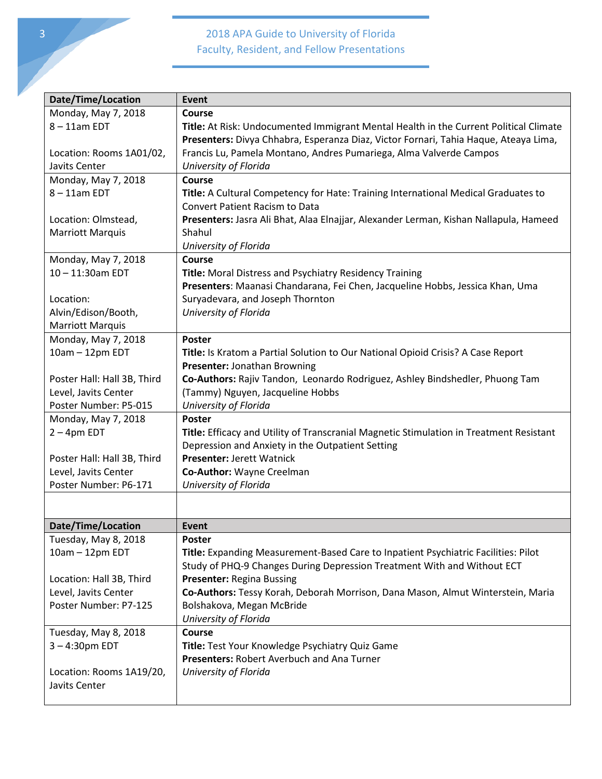| Date/Time/Location          | Event                                                                                   |
|-----------------------------|-----------------------------------------------------------------------------------------|
| Monday, May 7, 2018         | Course                                                                                  |
| $8 - 11$ am EDT             | Title: At Risk: Undocumented Immigrant Mental Health in the Current Political Climate   |
|                             | Presenters: Divya Chhabra, Esperanza Diaz, Victor Fornari, Tahia Haque, Ateaya Lima,    |
| Location: Rooms 1A01/02,    | Francis Lu, Pamela Montano, Andres Pumariega, Alma Valverde Campos                      |
| Javits Center               | University of Florida                                                                   |
| Monday, May 7, 2018         | Course                                                                                  |
| $8 - 11$ am EDT             | Title: A Cultural Competency for Hate: Training International Medical Graduates to      |
|                             | <b>Convert Patient Racism to Data</b>                                                   |
| Location: Olmstead,         | Presenters: Jasra Ali Bhat, Alaa Elnajjar, Alexander Lerman, Kishan Nallapula, Hameed   |
| <b>Marriott Marquis</b>     | Shahul                                                                                  |
|                             | University of Florida                                                                   |
| Monday, May 7, 2018         | Course                                                                                  |
| 10-11:30am EDT              | Title: Moral Distress and Psychiatry Residency Training                                 |
|                             | Presenters: Maanasi Chandarana, Fei Chen, Jacqueline Hobbs, Jessica Khan, Uma           |
| Location:                   | Suryadevara, and Joseph Thornton                                                        |
| Alvin/Edison/Booth,         | University of Florida                                                                   |
| <b>Marriott Marquis</b>     |                                                                                         |
| Monday, May 7, 2018         | <b>Poster</b>                                                                           |
| 10am - 12pm EDT             | Title: Is Kratom a Partial Solution to Our National Opioid Crisis? A Case Report        |
|                             | Presenter: Jonathan Browning                                                            |
| Poster Hall: Hall 3B, Third | Co-Authors: Rajiv Tandon, Leonardo Rodriguez, Ashley Bindshedler, Phuong Tam            |
| Level, Javits Center        | (Tammy) Nguyen, Jacqueline Hobbs                                                        |
| Poster Number: P5-015       | University of Florida                                                                   |
| Monday, May 7, 2018         | Poster                                                                                  |
| $2 - 4$ pm EDT              | Title: Efficacy and Utility of Transcranial Magnetic Stimulation in Treatment Resistant |
|                             | Depression and Anxiety in the Outpatient Setting                                        |
| Poster Hall: Hall 3B, Third | Presenter: Jerett Watnick                                                               |
| Level, Javits Center        | Co-Author: Wayne Creelman                                                               |
| Poster Number: P6-171       | University of Florida                                                                   |
|                             |                                                                                         |
| Date/Time/Location          | Event                                                                                   |
| Tuesday, May 8, 2018        | Poster                                                                                  |
| 10am - 12pm EDT             | Title: Expanding Measurement-Based Care to Inpatient Psychiatric Facilities: Pilot      |
|                             | Study of PHQ-9 Changes During Depression Treatment With and Without ECT                 |
| Location: Hall 3B, Third    | <b>Presenter: Regina Bussing</b>                                                        |
| Level, Javits Center        | Co-Authors: Tessy Korah, Deborah Morrison, Dana Mason, Almut Winterstein, Maria         |
| Poster Number: P7-125       | Bolshakova, Megan McBride                                                               |
|                             | University of Florida                                                                   |
| Tuesday, May 8, 2018        | Course                                                                                  |
| $3 - 4:30$ pm EDT           | Title: Test Your Knowledge Psychiatry Quiz Game                                         |
|                             | Presenters: Robert Averbuch and Ana Turner                                              |
| Location: Rooms 1A19/20,    | University of Florida                                                                   |
| Javits Center               |                                                                                         |
|                             |                                                                                         |